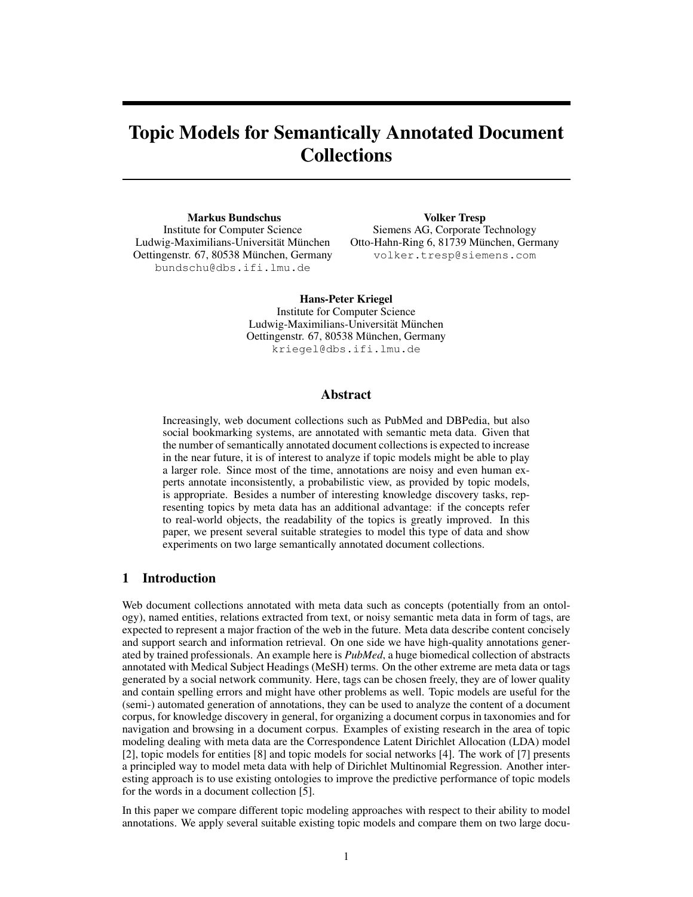# Topic Models for Semantically Annotated Document Collections

Markus Bundschus Institute for Computer Science Ludwig-Maximilians-Universität München Oettingenstr. 67, 80538 München, Germany bundschu@dbs.ifi.lmu.de

Volker Tresp Siemens AG, Corporate Technology Otto-Hahn-Ring 6, 81739 München, Germany volker.tresp@siemens.com

Hans-Peter Kriegel Institute for Computer Science Ludwig-Maximilians-Universität München Oettingenstr. 67, 80538 München, Germany kriegel@dbs.ifi.lmu.de

#### Abstract

Increasingly, web document collections such as PubMed and DBPedia, but also social bookmarking systems, are annotated with semantic meta data. Given that the number of semantically annotated document collections is expected to increase in the near future, it is of interest to analyze if topic models might be able to play a larger role. Since most of the time, annotations are noisy and even human experts annotate inconsistently, a probabilistic view, as provided by topic models, is appropriate. Besides a number of interesting knowledge discovery tasks, representing topics by meta data has an additional advantage: if the concepts refer to real-world objects, the readability of the topics is greatly improved. In this paper, we present several suitable strategies to model this type of data and show experiments on two large semantically annotated document collections.

# 1 Introduction

Web document collections annotated with meta data such as concepts (potentially from an ontology), named entities, relations extracted from text, or noisy semantic meta data in form of tags, are expected to represent a major fraction of the web in the future. Meta data describe content concisely and support search and information retrieval. On one side we have high-quality annotations generated by trained professionals. An example here is *PubMed*, a huge biomedical collection of abstracts annotated with Medical Subject Headings (MeSH) terms. On the other extreme are meta data or tags generated by a social network community. Here, tags can be chosen freely, they are of lower quality and contain spelling errors and might have other problems as well. Topic models are useful for the (semi-) automated generation of annotations, they can be used to analyze the content of a document corpus, for knowledge discovery in general, for organizing a document corpus in taxonomies and for navigation and browsing in a document corpus. Examples of existing research in the area of topic modeling dealing with meta data are the Correspondence Latent Dirichlet Allocation (LDA) model [2], topic models for entities [8] and topic models for social networks [4]. The work of [7] presents a principled way to model meta data with help of Dirichlet Multinomial Regression. Another interesting approach is to use existing ontologies to improve the predictive performance of topic models for the words in a document collection [5].

In this paper we compare different topic modeling approaches with respect to their ability to model annotations. We apply several suitable existing topic models and compare them on two large docu-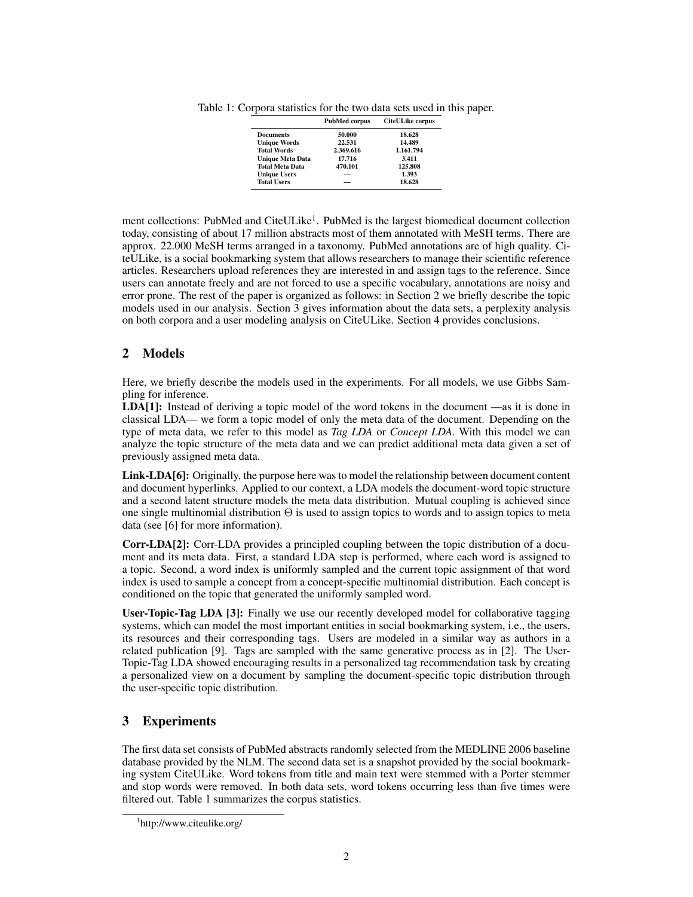Table 1: Corpora statistics for the two data sets used in this paper.

|                         | <b>PubMed corpus</b> | <b>CiteULike corpus</b> |
|-------------------------|----------------------|-------------------------|
| <b>Documents</b>        | 50.000               | 18.628                  |
| <b>Unique Words</b>     | 22.531               | 14.489                  |
| <b>Total Words</b>      | 2.369.616            | 1.161.794               |
| <b>Unique Meta Data</b> | 17.716               | 3.411                   |
| <b>Total Meta Data</b>  | 470.101              | 125.808                 |
| <b>Unique Users</b>     |                      | 1.393                   |
| <b>Total Users</b>      |                      | 18.628                  |

ment collections: PubMed and CiteULike<sup>1</sup>. PubMed is the largest biomedical document collection today, consisting of about 17 million abstracts most of them annotated with MeSH terms. There are approx. 22.000 MeSH terms arranged in a taxonomy. PubMed annotations are of high quality. CiteULike, is a social bookmarking system that allows researchers to manage their scientific reference articles. Researchers upload references they are interested in and assign tags to the reference. Since users can annotate freely and are not forced to use a specific vocabulary, annotations are noisy and error prone. The rest of the paper is organized as follows: in Section 2 we briefly describe the topic models used in our analysis. Section 3 gives information about the data sets, a perplexity analysis on both corpora and a user modeling analysis on CiteULike. Section 4 provides conclusions.

# 2 Models

Here, we briefly describe the models used in the experiments. For all models, we use Gibbs Sampling for inference.

LDA[1]: Instead of deriving a topic model of the word tokens in the document —as it is done in classical LDA— we form a topic model of only the meta data of the document. Depending on the type of meta data, we refer to this model as *Tag LDA* or *Concept LDA*. With this model we can analyze the topic structure of the meta data and we can predict additional meta data given a set of previously assigned meta data.

Link-LDA[6]: Originally, the purpose here was to model the relationship between document content and document hyperlinks. Applied to our context, a LDA models the document-word topic structure and a second latent structure models the meta data distribution. Mutual coupling is achieved since one single multinomial distribution  $\Theta$  is used to assign topics to words and to assign topics to meta data (see [6] for more information).

Corr-LDA[2]: Corr-LDA provides a principled coupling between the topic distribution of a document and its meta data. First, a standard LDA step is performed, where each word is assigned to a topic. Second, a word index is uniformly sampled and the current topic assignment of that word index is used to sample a concept from a concept-specific multinomial distribution. Each concept is conditioned on the topic that generated the uniformly sampled word.

User-Topic-Tag LDA [3]: Finally we use our recently developed model for collaborative tagging systems, which can model the most important entities in social bookmarking system, i.e., the users, its resources and their corresponding tags. Users are modeled in a similar way as authors in a related publication [9]. Tags are sampled with the same generative process as in [2]. The User-Topic-Tag LDA showed encouraging results in a personalized tag recommendation task by creating a personalized view on a document by sampling the document-specific topic distribution through the user-specific topic distribution.

#### 3 Experiments

The first data set consists of PubMed abstracts randomly selected from the MEDLINE 2006 baseline database provided by the NLM. The second data set is a snapshot provided by the social bookmarking system CiteULike. Word tokens from title and main text were stemmed with a Porter stemmer and stop words were removed. In both data sets, word tokens occurring less than five times were filtered out. Table 1 summarizes the corpus statistics.

<sup>1</sup> http://www.citeulike.org/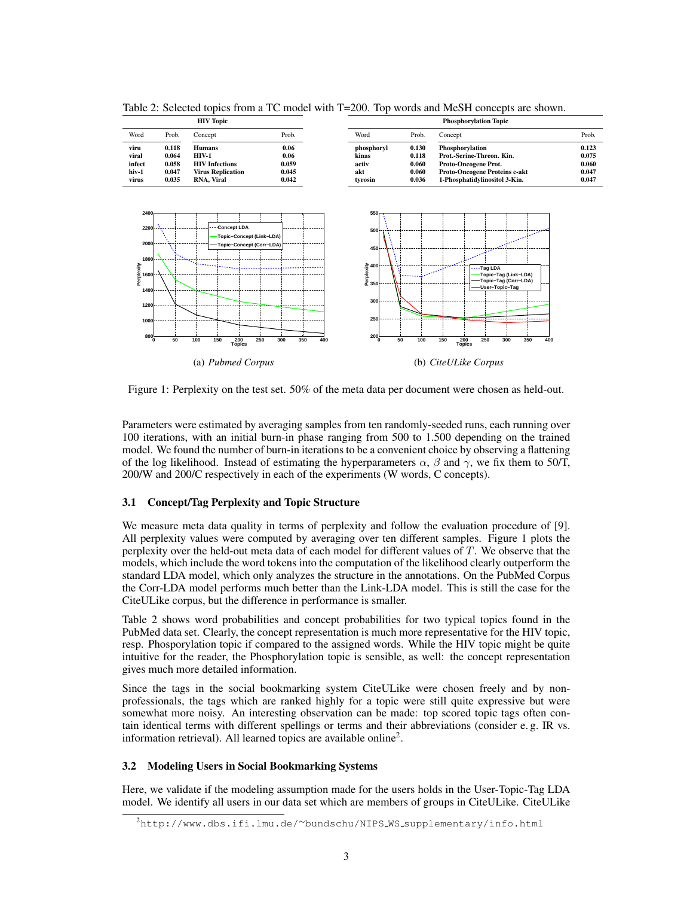| <b>HIV Topic</b> |                |                               | <b>Phosphorylation Topic</b> |                     |                |                                              |                |  |
|------------------|----------------|-------------------------------|------------------------------|---------------------|----------------|----------------------------------------------|----------------|--|
| Word             | Prob.          | Concept                       | Prob.                        | Word                | Prob.          | Concept                                      | Prob.          |  |
| viru<br>viral    | 0.118<br>0.064 | <b>Humans</b><br><b>HIV-1</b> | 0.06<br>0.06                 | phosphoryl<br>kinas | 0.130<br>0.118 | Phosphorylation<br>Prot.-Serine-Threon. Kin. | 0.123<br>0.075 |  |
| infect           | 0.058          | <b>HIV</b> Infections         | 0.059                        | activ               | 0.060          | Proto-Oncogene Prot.                         | 0.060          |  |
| virus            | 0.035          | <b>RNA. Viral</b>             | 0.042                        | tvrosin             | 0.036          | 1-Phosphatidylinositol 3-Kin.                | 0.047          |  |
| hiv-1            | 0.047          | <b>Virus Replication</b>      | 0.045                        | akt                 | 0.060          | <b>Proto-Oncogene Proteins c-akt</b>         | 0.047          |  |

Table 2: Selected topics from a TC model with T=200. Top words and MeSH concepts are shown.



Figure 1: Perplexity on the test set. 50% of the meta data per document were chosen as held-out.

Parameters were estimated by averaging samples from ten randomly-seeded runs, each running over 100 iterations, with an initial burn-in phase ranging from 500 to 1.500 depending on the trained model. We found the number of burn-in iterations to be a convenient choice by observing a flattening of the log likelihood. Instead of estimating the hyperparameters  $\alpha$ ,  $\beta$  and  $\gamma$ , we fix them to 50/T, 200/W and 200/C respectively in each of the experiments (W words, C concepts).

#### 3.1 Concept/Tag Perplexity and Topic Structure

We measure meta data quality in terms of perplexity and follow the evaluation procedure of [9]. All perplexity values were computed by averaging over ten different samples. Figure 1 plots the perplexity over the held-out meta data of each model for different values of T. We observe that the models, which include the word tokens into the computation of the likelihood clearly outperform the standard LDA model, which only analyzes the structure in the annotations. On the PubMed Corpus the Corr-LDA model performs much better than the Link-LDA model. This is still the case for the CiteULike corpus, but the difference in performance is smaller.

Table 2 shows word probabilities and concept probabilities for two typical topics found in the PubMed data set. Clearly, the concept representation is much more representative for the HIV topic, resp. Phosporylation topic if compared to the assigned words. While the HIV topic might be quite intuitive for the reader, the Phosphorylation topic is sensible, as well: the concept representation gives much more detailed information.

Since the tags in the social bookmarking system CiteULike were chosen freely and by nonprofessionals, the tags which are ranked highly for a topic were still quite expressive but were somewhat more noisy. An interesting observation can be made: top scored topic tags often contain identical terms with different spellings or terms and their abbreviations (consider e. g. IR vs. information retrieval). All learned topics are available online<sup>2</sup>.

#### 3.2 Modeling Users in Social Bookmarking Systems

Here, we validate if the modeling assumption made for the users holds in the User-Topic-Tag LDA model. We identify all users in our data set which are members of groups in CiteULike. CiteULike

<sup>2</sup>http://www.dbs.ifi.lmu.de/∼bundschu/NIPS WS supplementary/info.html